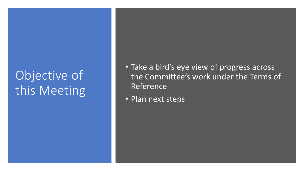# Objective of this Meeting

- Take a bird's eye view of progress across the Committee's work under the Terms of **Reference**
- Plan next steps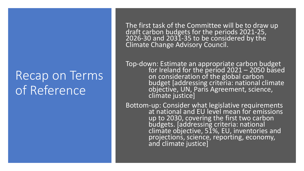## Recap on Terms of Reference

The first task of the Committee will be to draw up draft carbon budgets for the periods 2021-25,  $2026 - 30$  and  $203\overline{1} - 35$  to be considered by the Climate Change Advisory Council.

Top-down: Estimate an appropriate carbon budget for Ireland for the period  $2021 - 2050$  based on consideration of the global carbon budget [addressing criteria: national climate objective, UN, Paris Agreement, science, climate justice]

Bottom-up: Consider what legislative requirements at national and EU level mean for emissions up to 2030, covering the first two carbon budgets. [addressing criteria: national climate objective, 51%, EU, inventories and projections, science, reporting, economy, and climate justice]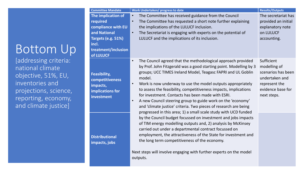## Bottom Up

[addressing criteria: national climate objective, 51%, EU, inventories and projections, science, reporting, economy, and climate justice]

| <b>Committee Mandate</b>                                                      | Work Undertaken/ progress to date                                                                                                                                                                                                                                                                                                                                                                                                                                                                                                                                              | <b>Results/Outputs</b>                                                                                                  |
|-------------------------------------------------------------------------------|--------------------------------------------------------------------------------------------------------------------------------------------------------------------------------------------------------------------------------------------------------------------------------------------------------------------------------------------------------------------------------------------------------------------------------------------------------------------------------------------------------------------------------------------------------------------------------|-------------------------------------------------------------------------------------------------------------------------|
| The implication of                                                            | The Committee has received guidance from the Council<br>$\bullet$                                                                                                                                                                                                                                                                                                                                                                                                                                                                                                              | The secretariat has                                                                                                     |
| required                                                                      | The Committee has requested a short note further explaining<br>$\bullet$                                                                                                                                                                                                                                                                                                                                                                                                                                                                                                       | provided an initial                                                                                                     |
| compliance with EU                                                            | the implications of the LULUCF inclusion.                                                                                                                                                                                                                                                                                                                                                                                                                                                                                                                                      | explanatory note                                                                                                        |
| and National                                                                  | The Secretariat is engaging with experts on the potential of<br>$\bullet$                                                                                                                                                                                                                                                                                                                                                                                                                                                                                                      | on LULUCF                                                                                                               |
| Targets (e.g. 51%)                                                            | LULUCF and the implications of its inclusion.                                                                                                                                                                                                                                                                                                                                                                                                                                                                                                                                  | accounting.                                                                                                             |
| incl.                                                                         |                                                                                                                                                                                                                                                                                                                                                                                                                                                                                                                                                                                |                                                                                                                         |
| treatment/inclusion                                                           |                                                                                                                                                                                                                                                                                                                                                                                                                                                                                                                                                                                |                                                                                                                         |
| of LULUCF                                                                     |                                                                                                                                                                                                                                                                                                                                                                                                                                                                                                                                                                                |                                                                                                                         |
| Feasibility,<br>competitiveness<br>impacts,<br>implications for<br>investment | The Council agreed that the methodological approach provided<br>$\bullet$<br>by Prof. John Fitzgerald was a good starting point. Modelling by 3<br>groups; UCC TIMES Ireland Model, Teagasc FAPRI and UL Goblin<br>model.<br>Work is now underway to use the model outputs appropriately<br>$\bullet$<br>to assess the feasibility, competitiveness impacts, implications<br>for investment. Contacts has been made with ESRI.<br>A new Council steering group to guide work on the 'economy'<br>$\bullet$<br>and 'climate justice' criteria. Two pieces of research are being | Sufficient<br>modelling of<br>scenarios has been<br>undertaken and<br>represent the<br>evidence base for<br>next steps. |
| <b>Distributional</b><br>impacts, jobs                                        | progressed in this area; 1) a small scale study with UCD funded<br>by the Council budget focussed on investment and jobs impacts<br>of TIM energy modelling outputs and, 2) analysis by McKinsey<br>carried out under a departmental contract focussed on<br>employment, the attractiveness of the State for investment and<br>the long term competitiveness of the economy.<br>Next steps will involve engaging with further experts on the model<br>outputs.                                                                                                                 |                                                                                                                         |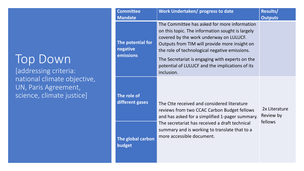### Top Down

[addressing criteria: national climate objective, UN, Paris Agreement, science, climate justice]

| <b>Committee</b>                                             | Work Undertaken/ progress to date                                                                                                                                                                                                                                                                                                                                 | Results/                   |
|--------------------------------------------------------------|-------------------------------------------------------------------------------------------------------------------------------------------------------------------------------------------------------------------------------------------------------------------------------------------------------------------------------------------------------------------|----------------------------|
| <b>Mandate</b><br>The potential for<br>negative<br>emissions | The Committee has asked for more information<br>on this topic. The information sought is largely<br>covered by the work underway on LULUCF.<br>Outputs from TIM will provide more insight on<br>the role of technological negative emissions.<br>The Secretariat is engaging with experts on the<br>potential of LULUCF and the implications of its<br>inclusion. | <b>Outputs</b>             |
| The role of<br>different gases                               | The Ctte received and considered literature<br>reviews from two CCAC Carbon Budget fellows<br>and has asked for a simplified 1-pager summary.                                                                                                                                                                                                                     | 2x Literature<br>Review by |
| The global carbon<br>budget                                  | The secretariat has received a draft technical<br>summary and is working to translate that to a<br>more accessible document.                                                                                                                                                                                                                                      | fellows                    |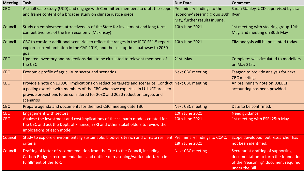| <b>Meeting</b> | <b>Task</b>                                                                                                                                                                                                                                                                         | <b>Due Date</b>                                                                                      | <b>Comment</b>                                                                                                                       |
|----------------|-------------------------------------------------------------------------------------------------------------------------------------------------------------------------------------------------------------------------------------------------------------------------------------|------------------------------------------------------------------------------------------------------|--------------------------------------------------------------------------------------------------------------------------------------|
| CBC            | A small scale study (UCD) and engage with Committee members to draft the scope<br>and frame content of a broader study on climate justice piece                                                                                                                                     | Preliminary findings to the<br>'economy' steering group 30th   Ryan<br>May, further results in June. | Sarah Stanley, UCD supervised by Lisa                                                                                                |
| Council        | Study on employment, attractiveness of the State for investment and long term<br>competitiveness of the Irish economy (McKinsey)                                                                                                                                                    | 10th June 2021                                                                                       | 1st meeting with steering group 19th<br>May. 2nd meeting on 30th May                                                                 |
| Council        | CBC to consider additional scenarios to reflect the ranges in the IPCC SR1.5 report,<br>explore current ambition in the CAP 2019, and the cost optimal pathway to 2050<br>Igoal.                                                                                                    | 10th June 2021                                                                                       | TIM analysis will be presented today.                                                                                                |
| CBC            | Updated inventory and projections data to be circulated to relevant members of<br>the CBC                                                                                                                                                                                           | 21st May                                                                                             | Complete: was circulated to modellers<br>on May 21st.                                                                                |
| CBC            | Economic profile of agriculture sector and scenarios                                                                                                                                                                                                                                | <b>Next CBC meeting</b>                                                                              | Teagasc to provide analysis for next<br><b>CBC</b> meeting.                                                                          |
| CBC            | Provide a note on LULUCF implications on reduction targets and scenarios. Conduct Next CBC meeting<br>a polling exercise with members of the CBC who have expertise in LULUCF areas to<br>provide projections to be considered for 2030 and 2050 reduction targets and<br>scenarios |                                                                                                      | An preliminary note on LULUCF<br>accounting has been provided.                                                                       |
| CBC            | Prepare agenda and documents for the next CBC meeting date TBC                                                                                                                                                                                                                      | <b>Next CBC meeting</b>                                                                              | Date to be confirmed.                                                                                                                |
| <b>CBC</b>     | <b>Engagement with sectors</b>                                                                                                                                                                                                                                                      | <b>10th June 2021</b>                                                                                | <b>Need guidance</b>                                                                                                                 |
| <b>CBC</b>     | Analyse the investment and cost implications of the scenario models created for<br>the CBC and ask the Dept. of Finance, ESRI and other stakeholders to review the<br>implications of each model                                                                                    | 10th June 2021                                                                                       | 1st meeting with ESRI 25th May.                                                                                                      |
| <b>Council</b> | Study to explore environmentally sustainable, biodiversity rich and climate resilient Preliminary findings to CCAC:<br>criteria                                                                                                                                                     | 18th June 2021                                                                                       | Scope developed, but researcher has<br>not been identified.                                                                          |
| <b>Council</b> | Drafting of letter of recommendation from the Ctte to the Council, including<br>Carbon Budgets recommendations and outline of reasoning/work undertaken in<br>fulfillment of the ToR.                                                                                               | <b>Next CBC meeting</b>                                                                              | Secretariat drafting of supporting<br>documentation to form the foundation<br>of the "reasoning" document required<br>under the Bill |